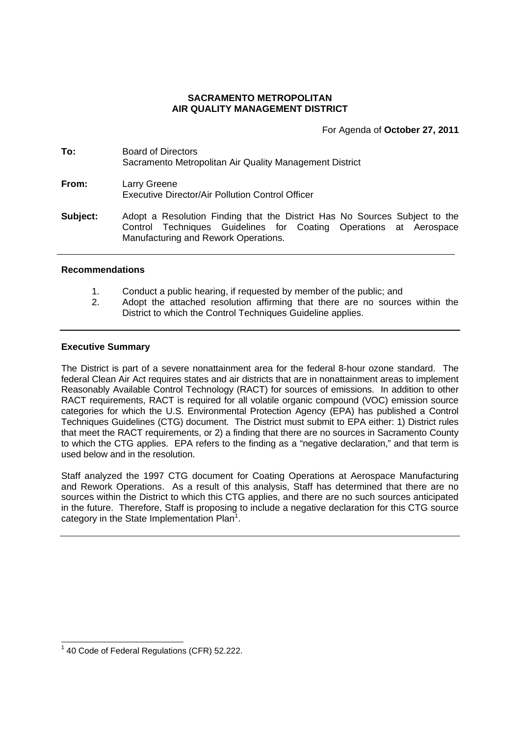### **SACRAMENTO METROPOLITAN AIR QUALITY MANAGEMENT DISTRICT**

For Agenda of **October 27, 2011**

- **To:** Board of Directors Sacramento Metropolitan Air Quality Management District **From:** Larry Greene Executive Director/Air Pollution Control Officer
- **Subject:** Adopt a Resolution Finding that the District Has No Sources Subject to the Control Techniques Guidelines for Coating Operations at Aerospace Manufacturing and Rework Operations.

### **Recommendations**

- 1. Conduct a public hearing, if requested by member of the public; and
- 2. Adopt the attached resolution affirming that there are no sources within the District to which the Control Techniques Guideline applies.

### **Executive Summary**

The District is part of a severe nonattainment area for the federal 8-hour ozone standard. The federal Clean Air Act requires states and air districts that are in nonattainment areas to implement Reasonably Available Control Technology (RACT) for sources of emissions. In addition to other RACT requirements, RACT is required for all volatile organic compound (VOC) emission source categories for which the U.S. Environmental Protection Agency (EPA) has published a Control Techniques Guidelines (CTG) document. The District must submit to EPA either: 1) District rules that meet the RACT requirements, or 2) a finding that there are no sources in Sacramento County to which the CTG applies. EPA refers to the finding as a "negative declaration," and that term is used below and in the resolution.

Staff analyzed the 1997 CTG document for Coating Operations at Aerospace Manufacturing and Rework Operations. As a result of this analysis, Staff has determined that there are no sources within the District to which this CTG applies, and there are no such sources anticipated in the future. Therefore, Staff is proposing to include a negative declaration for this CTG source category in the State Implementation  $Plan<sup>1</sup>$ .

 $1$  40 Code of Federal Regulations (CFR) 52.222.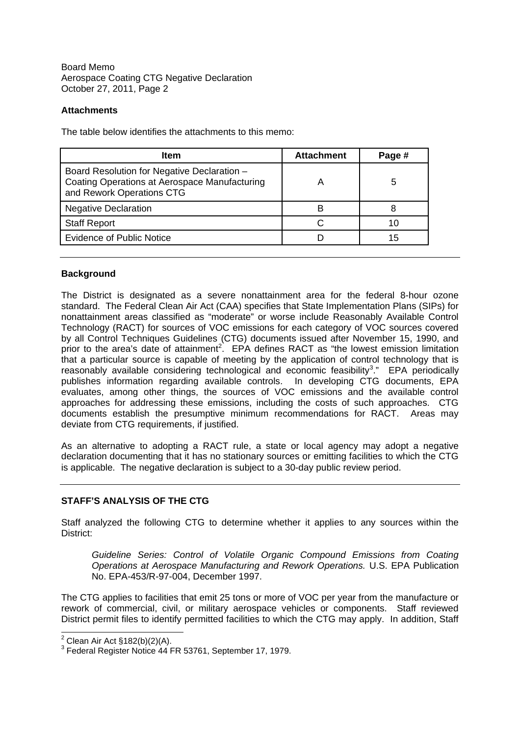Board Memo Aerospace Coating CTG Negative Declaration October 27, 2011, Page 2

# **Attachments**

The table below identifies the attachments to this memo:

| <b>Item</b>                                                                                                               | <b>Attachment</b> | Page # |
|---------------------------------------------------------------------------------------------------------------------------|-------------------|--------|
| Board Resolution for Negative Declaration -<br>Coating Operations at Aerospace Manufacturing<br>and Rework Operations CTG |                   | 5      |
| <b>Negative Declaration</b>                                                                                               | в                 |        |
| <b>Staff Report</b>                                                                                                       |                   |        |
| <b>Evidence of Public Notice</b>                                                                                          |                   | 15     |

### **Background**

The District is designated as a severe nonattainment area for the federal 8-hour ozone standard. The Federal Clean Air Act (CAA) specifies that State Implementation Plans (SIPs) for nonattainment areas classified as "moderate" or worse include Reasonably Available Control Technology (RACT) for sources of VOC emissions for each category of VOC sources covered by all Control Techniques Guidelines (CTG) documents issued after November 15, 1990, and prior to the area's date of attainment<sup>2</sup>. EPA defines RACT as "the lowest emission limitation that a particular source is capable of meeting by the application of control technology that is reasonably available considering technological and economic feasibility<sup>3</sup>." EPA periodically publishes information regarding available controls. In developing CTG documents, EPA evaluates, among other things, the sources of VOC emissions and the available control approaches for addressing these emissions, including the costs of such approaches. CTG documents establish the presumptive minimum recommendations for RACT. Areas may deviate from CTG requirements, if justified.

As an alternative to adopting a RACT rule, a state or local agency may adopt a negative declaration documenting that it has no stationary sources or emitting facilities to which the CTG is applicable. The negative declaration is subject to a 30-day public review period.

# **STAFF'S ANALYSIS OF THE CTG**

Staff analyzed the following CTG to determine whether it applies to any sources within the District:

*Guideline Series: Control of Volatile Organic Compound Emissions from Coating Operations at Aerospace Manufacturing and Rework Operations.* U.S. EPA Publication No. EPA-453/R-97-004, December 1997.

The CTG applies to facilities that emit 25 tons or more of VOC per year from the manufacture or rework of commercial, civil, or military aerospace vehicles or components. Staff reviewed District permit files to identify permitted facilities to which the CTG may apply. In addition, Staff

 $2$  Clean Air Act §182(b)(2)(A).

<sup>&</sup>lt;sup>3</sup> Federal Register Notice 44 FR 53761, September 17, 1979.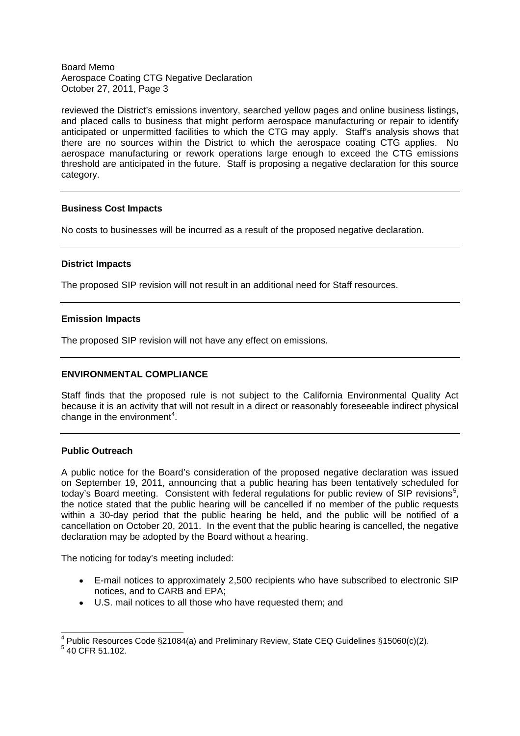#### Board Memo Aerospace Coating CTG Negative Declaration October 27, 2011, Page 3

reviewed the District's emissions inventory, searched yellow pages and online business listings, and placed calls to business that might perform aerospace manufacturing or repair to identify anticipated or unpermitted facilities to which the CTG may apply. Staff's analysis shows that there are no sources within the District to which the aerospace coating CTG applies. No aerospace manufacturing or rework operations large enough to exceed the CTG emissions threshold are anticipated in the future. Staff is proposing a negative declaration for this source category.

### **Business Cost Impacts**

No costs to businesses will be incurred as a result of the proposed negative declaration.

### **District Impacts**

The proposed SIP revision will not result in an additional need for Staff resources.

### **Emission Impacts**

The proposed SIP revision will not have any effect on emissions.

### **ENVIRONMENTAL COMPLIANCE**

Staff finds that the proposed rule is not subject to the California Environmental Quality Act because it is an activity that will not result in a direct or reasonably foreseeable indirect physical change in the environment<sup>4</sup>.

### **Public Outreach**

A public notice for the Board's consideration of the proposed negative declaration was issued on September 19, 2011, announcing that a public hearing has been tentatively scheduled for today's Board meeting. Consistent with federal regulations for public review of SIP revisions<sup>5</sup>, the notice stated that the public hearing will be cancelled if no member of the public requests within a 30-day period that the public hearing be held, and the public will be notified of a cancellation on October 20, 2011. In the event that the public hearing is cancelled, the negative declaration may be adopted by the Board without a hearing.

The noticing for today's meeting included:

- E-mail notices to approximately 2,500 recipients who have subscribed to electronic SIP notices, and to CARB and EPA;
- U.S. mail notices to all those who have requested them; and

<sup>&</sup>lt;sup>4</sup> Public Resources Code §21084(a) and Preliminary Review, State CEQ Guidelines §15060(c)(2).

 $5$  40 CFR 51.102.